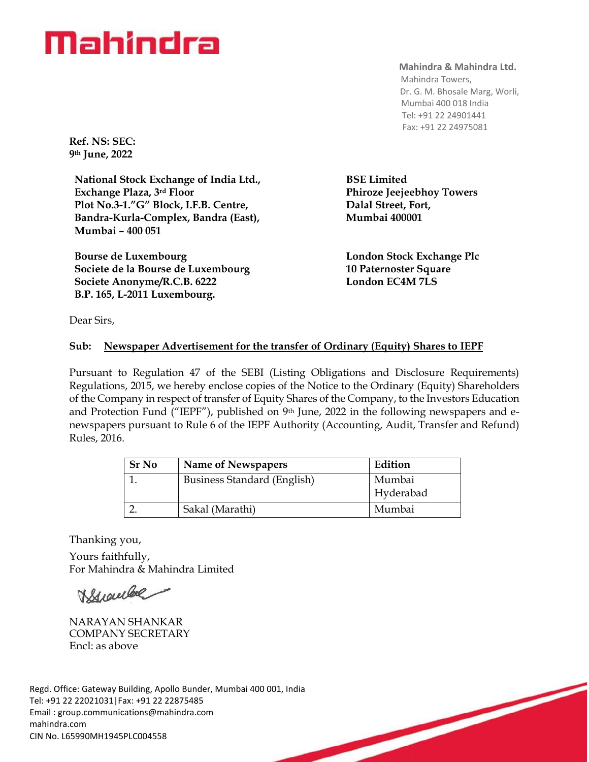# Mahindra

**Ref. NS: SEC: 9th June, 2022**

**National Stock Exchange of India Ltd., Exchange Plaza, 3rd Floor Plot No.3-1."G" Block, I.F.B. Centre, Bandra-Kurla-Complex, Bandra (East), Mumbai – 400 051**

**Bourse de Luxembourg Societe de la Bourse de Luxembourg Societe Anonyme/R.C.B. 6222 B.P. 165, L-2011 Luxembourg.**

### **Mahindra & Mahindra Ltd.**

 Mahindra Towers, Dr. G. M. Bhosale Marg, Worli, Mumbai 400 018 India Tel: +91 22 24901441 Fax: +91 22 24975081

**BSE Limited Phiroze Jeejeebhoy Towers Dalal Street, Fort, Mumbai 400001**

**London Stock Exchange Plc 10 Paternoster Square London EC4M 7LS**

Dear Sirs,

## **Sub: Newspaper Advertisement for the transfer of Ordinary (Equity) Shares to IEPF**

Pursuant to Regulation 47 of the SEBI (Listing Obligations and Disclosure Requirements) Regulations, 2015, we hereby enclose copies of the Notice to the Ordinary (Equity) Shareholders of the Company in respect of transfer of Equity Shares of the Company, to the Investors Education and Protection Fund ("IEPF"), published on 9<sup>th</sup> June, 2022 in the following newspapers and enewspapers pursuant to Rule 6 of the IEPF Authority (Accounting, Audit, Transfer and Refund) Rules, 2016.

| <b>Sr No</b> | Name of Newspapers          | Edition   |
|--------------|-----------------------------|-----------|
|              | Business Standard (English) | Mumbai    |
|              |                             | Hyderabad |
|              | Sakal (Marathi)             | Mumbai    |

Thanking you, Yours faithfully, For Mahindra & Mahindra Limited

Buentee

NARAYAN SHANKAR COMPANY SECRETARY Encl: as above

Regd. Office: Gateway Building, Apollo Bunder, Mumbai 400 001, India Tel: +91 22 22021031|Fax: +91 22 22875485 Email : [group.communications@mahindra.com](mailto:group.communications@mahindra.com) mahindra.com CIN No. L65990MH1945PLC004558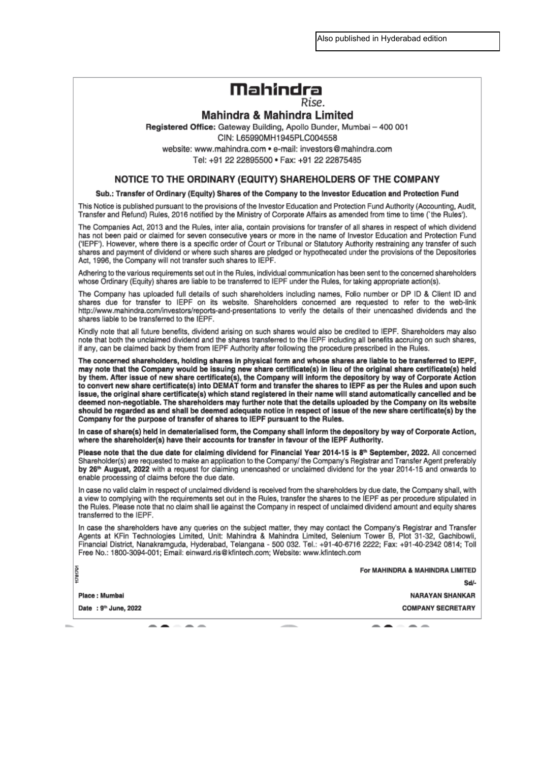Also published in Hyderabad edition

# Mahindra

Rise.

### **Mahindra & Mahindra Limited**

Registered Office: Gateway Building, Apollo Bunder, Mumbai - 400 001

CIN: L65990MH1945PLC004558

website: www.mahindra.com • e-mail: investors@mahindra.com Tel: +91 22 22895500 · Fax: +91 22 22875485

### NOTICE TO THE ORDINARY (EQUITY) SHAREHOLDERS OF THE COMPANY

#### Sub.: Transfer of Ordinary (Equity) Shares of the Company to the Investor Education and Protection Fund

This Notice is published pursuant to the provisions of the Investor Education and Protection Fund Authority (Accounting, Audit, Transfer and Refund) Rules, 2016 notified by the Ministry of Corporate Affairs as amended from time to time ('the Rules').

The Companies Act, 2013 and the Rules, inter alia, contain provisions for transfer of all shares in respect of which dividend has not been paid or claimed for seven consecutive years or more in the name of Investor Education and Protection Fund ('IEPF'). However, where there is a specific order of Court or Tribunal or Statutory Authority restraining any transfer of such shares and payment of dividend or where such shares are pledged or hypothecated under the provisions of the Depositories Act, 1996, the Company will not transfer such shares to IEPF.

Adhering to the various requirements set out in the Rules, individual communication has been sent to the concerned shareholders whose Ordinary (Equity) shares are liable to be transferred to IEPF under the Rules, for taking appropriate action(s).

The Company has uploaded full details of such shareholders including names, Folio number or DP ID & Client ID and shares due for transfer to IEPF on its website. Shareholders concerned are requested to refer to the web-link http://www.mahindra.com/investors/reports-and-presentations to verify the details of their unencashed dividends and the shares liable to be transferred to the IEPF.

Kindly note that all future benefits, dividend arising on such shares would also be credited to IEPF. Shareholders may also note that both the unclaimed dividend and the shares transferred to the IEPF including all benefits accruing on such shares, if any, can be claimed back by them from IEPF Authority after following the procedure prescribed in the Rules.

The concerned shareholders, holding shares in physical form and whose shares are liable to be transferred to IEPF may note that the Company would be issuing new share certificate(s) in lieu of the original share certificate(s) held by them. After issue of new share certificate(s), the Company will inform the depository by way of Corporate Action to convert new share certificate(s) into DEMAT form and transfer the shares to IEPF as per the Rules and upon such issue, the original share certificate(s) which stand registered in their name will stand automatically cancelled and be deemed non-negotiable. The shareholders may further note that the details uploaded by the Company on its website should be regarded as and shall be deemed adequate notice in respect of issue of the new share certificate(s) by the Company for the purpose of transfer of shares to IEPF pursuant to the Rules.

In case of share(s) held in dematerialised form, the Company shall inform the depository by way of Corporate Action, where the shareholder(s) have their accounts for transfer in favour of the IEPF Authority.

Please note that the due date for claiming dividend for Financial Year 2014-15 is 8<sup>th</sup> September, 2022. All concerned Shareholder(s) are requested to make an application to the Company/ the Company's Registrar and Transfer Agent preferably by 26<sup>th</sup> August, 2022 with a request for claiming unencashed or unclaimed dividend for the year 2014-15 and onwards to enable processing of claims before the due date.

In case no valid claim in respect of unclaimed dividend is received from the shareholders by due date, the Company shall, with a view to complying with the requirements set out in the Rules, transfer the shares to the IEPF as per procedure stipulated in the Rules. Please note that no claim shall lie against the Company in respect of unclaimed dividend amount and equity shares transferred to the IEPF.

In case the shareholders have any queries on the subject matter, they may contact the Company's Registrar and Transfer Agents at KFin Technologies Limited, Unit: Mahindra & Mahindra Limited, Selenium Tower B, Plot 31-32, Gachibowli, Financial District, Nanakramguda, Hyderabad, Telangana - 500 032. Tel.: +91-40-6716 2222; Fax: +91-40-2342 0814; Toll Free No.: 1800-3094-001; Email: einward.ris@kfintech.com; Website: www.kfintech.com

For MAHINDRA & MAHINDRA LIMITED

Sd<sub>I</sub>

Place: Mumbai

H781701

Date: 9th June, 2022

**COMPANY SECRETARY** - -

**NARAYAN SHANKAR**